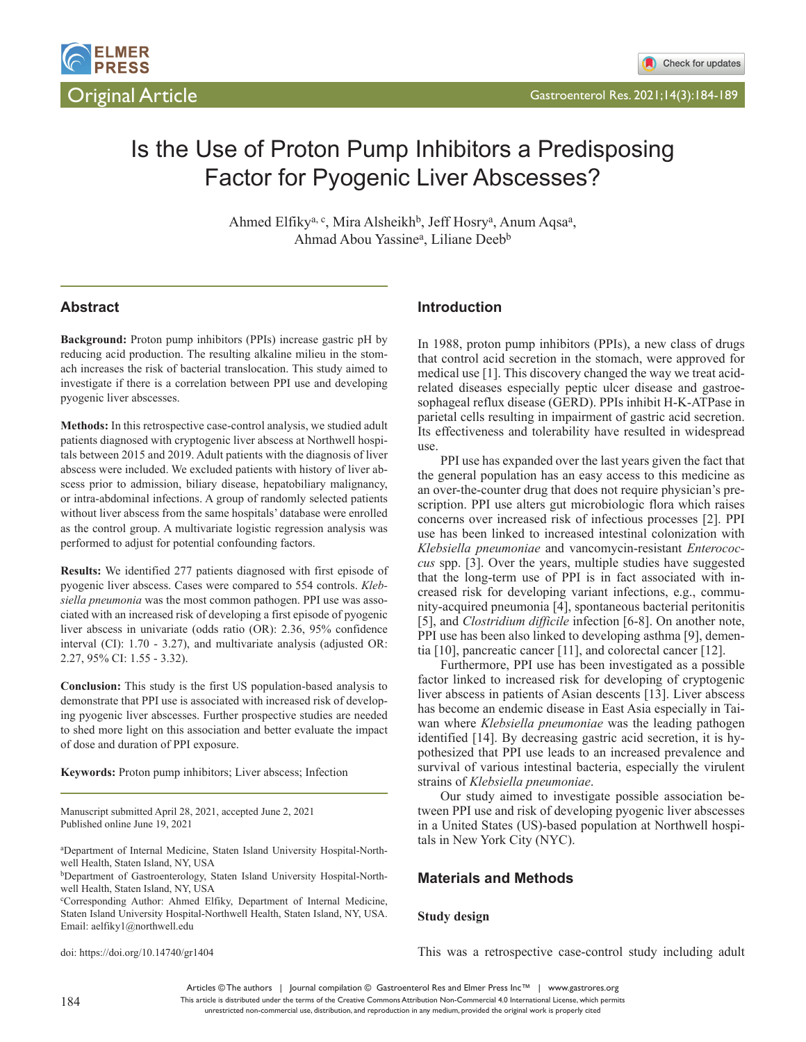

# Is the Use of Proton Pump Inhibitors a Predisposing Factor for Pyogenic Liver Abscesses?

Ahmed Elfiky<sup>a, c</sup>, Mira Alsheikh<sup>b</sup>, Jeff Hosry<sup>a</sup>, Anum Aqsa<sup>a</sup>, Ahmad Abou Yassine<sup>a</sup>, Liliane Deeb<sup>b</sup>

# **Abstract**

**Background:** Proton pump inhibitors (PPIs) increase gastric pH by reducing acid production. The resulting alkaline milieu in the stomach increases the risk of bacterial translocation. This study aimed to investigate if there is a correlation between PPI use and developing pyogenic liver abscesses.

**Methods:** In this retrospective case-control analysis, we studied adult patients diagnosed with cryptogenic liver abscess at Northwell hospitals between 2015 and 2019. Adult patients with the diagnosis of liver abscess were included. We excluded patients with history of liver abscess prior to admission, biliary disease, hepatobiliary malignancy, or intra-abdominal infections. A group of randomly selected patients without liver abscess from the same hospitals' database were enrolled as the control group. A multivariate logistic regression analysis was performed to adjust for potential confounding factors.

**Results:** We identified 277 patients diagnosed with first episode of pyogenic liver abscess. Cases were compared to 554 controls. *Klebsiella pneumonia* was the most common pathogen. PPI use was associated with an increased risk of developing a first episode of pyogenic liver abscess in univariate (odds ratio (OR): 2.36, 95% confidence interval (CI): 1.70 - 3.27), and multivariate analysis (adjusted OR: 2.27, 95% CI: 1.55 - 3.32).

**Conclusion:** This study is the first US population-based analysis to demonstrate that PPI use is associated with increased risk of developing pyogenic liver abscesses. Further prospective studies are needed to shed more light on this association and better evaluate the impact of dose and duration of PPI exposure.

**Keywords:** Proton pump inhibitors; Liver abscess; Infection

Manuscript submitted April 28, 2021, accepted June 2, 2021 Published online June 19, 2021

a Department of Internal Medicine, Staten Island University Hospital-Northwell Health, Staten Island, NY, USA

bDepartment of Gastroenterology, Staten Island University Hospital-Northwell Health, Staten Island, NY, USA

c Corresponding Author: Ahmed Elfiky, Department of Internal Medicine, Staten Island University Hospital-Northwell Health, Staten Island, NY, USA. Email: aelfiky1@northwell.edu

doi: https://doi.org/10.14740/gr1404

## **Introduction**

In 1988, proton pump inhibitors (PPIs), a new class of drugs that control acid secretion in the stomach, were approved for medical use [1]. This discovery changed the way we treat acidrelated diseases especially peptic ulcer disease and gastroesophageal reflux disease (GERD). PPIs inhibit H-K-ATPase in parietal cells resulting in impairment of gastric acid secretion. Its effectiveness and tolerability have resulted in widespread use.

PPI use has expanded over the last years given the fact that the general population has an easy access to this medicine as an over-the-counter drug that does not require physician's prescription. PPI use alters gut microbiologic flora which raises concerns over increased risk of infectious processes [2]. PPI use has been linked to increased intestinal colonization with *Klebsiella pneumoniae* and vancomycin-resistant *Enterococcus* spp. [3]. Over the years, multiple studies have suggested that the long-term use of PPI is in fact associated with increased risk for developing variant infections, e.g., community-acquired pneumonia [4], spontaneous bacterial peritonitis [5], and *Clostridium difficile* infection [6-8]. On another note, PPI use has been also linked to developing asthma [9], dementia [10], pancreatic cancer [11], and colorectal cancer [12].

Furthermore, PPI use has been investigated as a possible factor linked to increased risk for developing of cryptogenic liver abscess in patients of Asian descents [13]. Liver abscess has become an endemic disease in East Asia especially in Taiwan where *Klebsiella pneumoniae* was the leading pathogen identified [14]. By decreasing gastric acid secretion, it is hypothesized that PPI use leads to an increased prevalence and survival of various intestinal bacteria, especially the virulent strains of *Klebsiella pneumoniae*.

Our study aimed to investigate possible association between PPI use and risk of developing pyogenic liver abscesses in a United States (US)-based population at Northwell hospitals in New York City (NYC).

## **Materials and Methods**

#### **Study design**

This was a retrospective case-control study including adult

Articles © The authors | Journal compilation © Gastroenterol Res and Elmer Press Inc™ | www.gastrores.org This article is distributed under the terms of the Creative Commons Attribution Non-Commercial 4.0 International License, which permits unrestricted non-commercial use, distribution, and reproduction in any medium, provided the original work is properly cited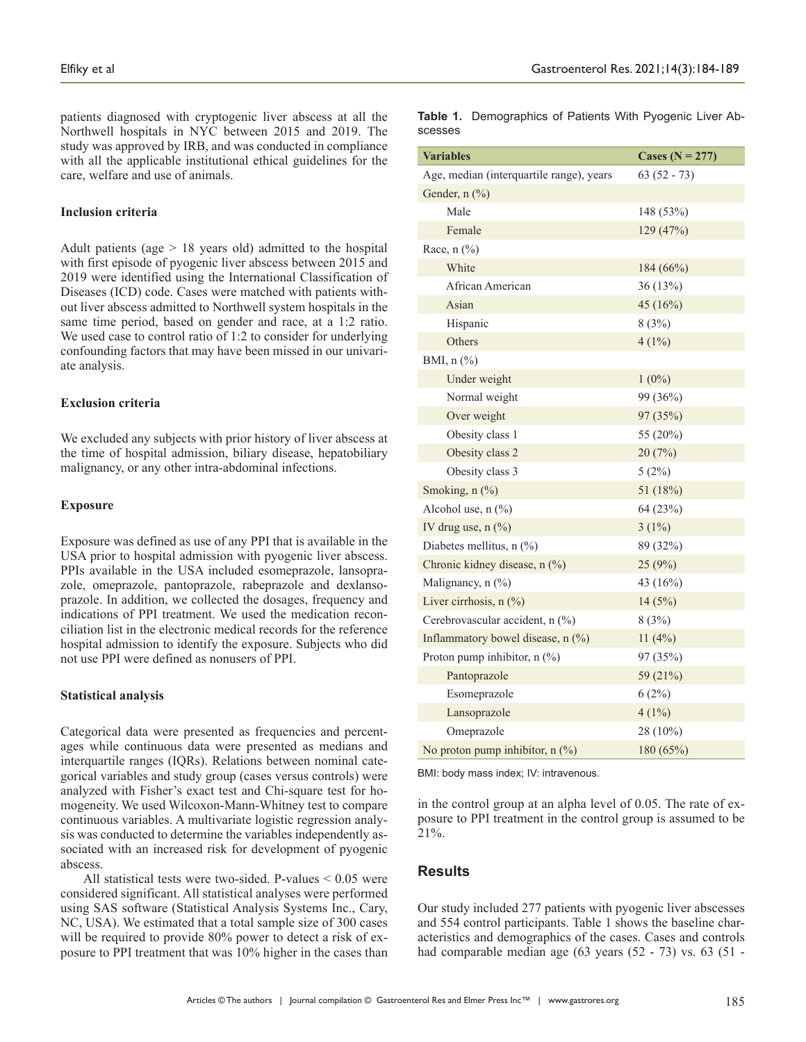patients diagnosed with cryptogenic liver abscess at all the Northwell hospitals in NYC between 2015 and 2019. The study was approved by IRB, and was conducted in compliance with all the applicable institutional ethical guidelines for the care, welfare and use of animals.

#### **Inclusion criteria**

Adult patients (age > 18 years old) admitted to the hospital with first episode of pyogenic liver abscess between 2015 and 2019 were identified using the International Classification of Diseases (ICD) code. Cases were matched with patients without liver abscess admitted to Northwell system hospitals in the same time period, based on gender and race, at a 1:2 ratio. We used case to control ratio of 1:2 to consider for underlying confounding factors that may have been missed in our univariate analysis.

#### **Exclusion criteria**

We excluded any subjects with prior history of liver abscess at the time of hospital admission, biliary disease, hepatobiliary malignancy, or any other intra-abdominal infections.

#### **Exposure**

Exposure was defined as use of any PPI that is available in the USA prior to hospital admission with pyogenic liver abscess. PPIs available in the USA included esomeprazole, lansoprazole, omeprazole, pantoprazole, rabeprazole and dexlansoprazole. In addition, we collected the dosages, frequency and indications of PPI treatment. We used the medication reconciliation list in the electronic medical records for the reference hospital admission to identify the exposure. Subjects who did not use PPI were defined as nonusers of PPI.

### **Statistical analysis**

Categorical data were presented as frequencies and percentages while continuous data were presented as medians and interquartile ranges (IQRs). Relations between nominal categorical variables and study group (cases versus controls) were analyzed with Fisher's exact test and Chi-square test for homogeneity. We used Wilcoxon-Mann-Whitney test to compare continuous variables. A multivariate logistic regression analysis was conducted to determine the variables independently associated with an increased risk for development of pyogenic abscess.

All statistical tests were two-sided. P-values < 0.05 were considered significant. All statistical analyses were performed using SAS software (Statistical Analysis Systems Inc., Cary, NC, USA). We estimated that a total sample size of 300 cases will be required to provide 80% power to detect a risk of exposure to PPI treatment that was 10% higher in the cases than

**Table 1.** Demographics of Patients With Pyogenic Liver Abscesses

| <b>Variables</b>                         | Cases ( $N = 277$ ) |  |  |
|------------------------------------------|---------------------|--|--|
| Age, median (interquartile range), years | $63(52 - 73)$       |  |  |
| Gender, n (%)                            |                     |  |  |
| Male                                     | 148 (53%)           |  |  |
| Female                                   | 129 (47%)           |  |  |
| Race, $n$ $(\%)$                         |                     |  |  |
| White                                    | 184 (66%)           |  |  |
| African American                         | 36 (13%)            |  |  |
| Asian                                    | 45 $(16%)$          |  |  |
| Hispanic                                 | 8(3%)               |  |  |
| Others                                   | $4(1\%)$            |  |  |
| BMI, n (%)                               |                     |  |  |
| Under weight                             | $1(0\%)$            |  |  |
| Normal weight                            | 99 (36%)            |  |  |
| Over weight                              | 97 (35%)            |  |  |
| Obesity class 1                          | 55 (20%)            |  |  |
| Obesity class 2                          | 20(7%)              |  |  |
| Obesity class 3                          | 5(2%)               |  |  |
| Smoking, n (%)                           | 51 (18%)            |  |  |
| Alcohol use, $n$ $(\%)$                  | 64 (23%)            |  |  |
| IV drug use, $n$ $(\%)$                  | $3(1\%)$            |  |  |
| Diabetes mellitus, n (%)                 | 89 (32%)            |  |  |
| Chronic kidney disease, n (%)            | 25(9%)              |  |  |
| Malignancy, $n$ $(\%)$                   | 43 (16%)            |  |  |
| Liver cirrhosis, n (%)                   | 14(5%)              |  |  |
| Cerebrovascular accident, n (%)          | 8(3%)               |  |  |
| Inflammatory bowel disease, $n$ $(\%)$   | $11(4\%)$           |  |  |
| Proton pump inhibitor, $n$ (%)           | 97 (35%)            |  |  |
| Pantoprazole                             | 59 (21%)            |  |  |
| Esomeprazole                             | 6(2%)               |  |  |
| Lansoprazole                             | $4(1\%)$            |  |  |
| Omeprazole                               | 28 (10%)            |  |  |
| No proton pump inhibitor, n (%)          | 180 (65%)           |  |  |

BMI: body mass index; IV: intravenous.

in the control group at an alpha level of 0.05. The rate of exposure to PPI treatment in the control group is assumed to be 21%.

## **Results**

Our study included 277 patients with pyogenic liver abscesses and 554 control participants. Table 1 shows the baseline characteristics and demographics of the cases. Cases and controls had comparable median age (63 years (52 - 73) vs. 63 (51 -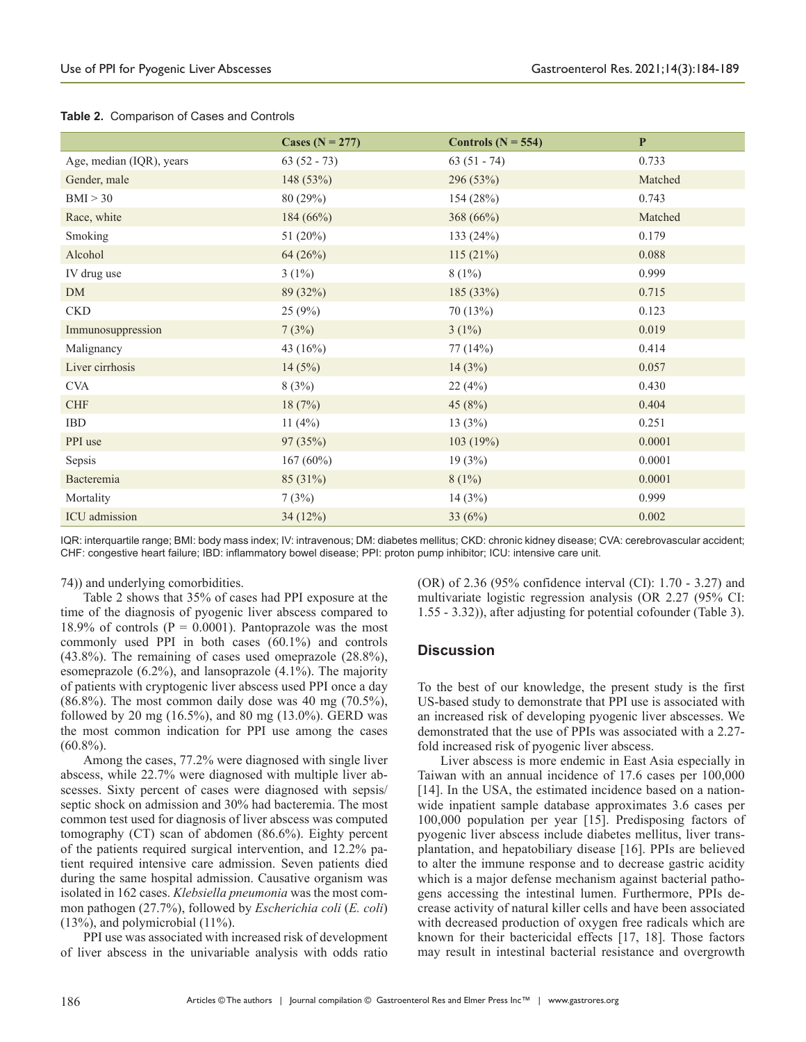|                          | Cases ( $N = 277$ ) | Controls ( $N = 554$ ) | $\mathbf P$ |
|--------------------------|---------------------|------------------------|-------------|
| Age, median (IQR), years | $63(52 - 73)$       | $63(51 - 74)$          | 0.733       |
| Gender, male             | 148 (53%)           | 296 (53%)              | Matched     |
| BMI > 30                 | 80 (29%)            | 154 (28%)              | 0.743       |
| Race, white              | 184(66%)            | 368 (66%)              | Matched     |
| Smoking                  | 51 $(20\%)$         | 133 $(24%)$            | 0.179       |
| Alcohol                  | 64(26%)             | 115(21%)               | 0.088       |
| IV drug use              | $3(1\%)$            | $8(1\%)$               | 0.999       |
| <b>DM</b>                | 89 (32%)            | 185 (33%)              | 0.715       |
| <b>CKD</b>               | 25(9%)              | 70 (13%)               | 0.123       |
| Immunosuppression        | 7(3%)               | $3(1\%)$               | 0.019       |
| Malignancy               | 43 (16%)            | 77 (14%)               | 0.414       |
| Liver cirrhosis          | 14(5%)              | 14(3%)                 | 0.057       |
| <b>CVA</b>               | 8(3%)               | 22(4%)                 | 0.430       |
| <b>CHF</b>               | 18(7%)              | 45 $(8%)$              | 0.404       |
| <b>IBD</b>               | 11 $(4%)$           | 13(3%)                 | 0.251       |
| PPI use                  | 97(35%)             | 103 (19%)              | 0.0001      |
| Sepsis                   | $167(60\%)$         | 19(3%)                 | 0.0001      |
| Bacteremia               | 85 (31%)            | $8(1\%)$               | 0.0001      |
| Mortality                | 7(3%)               | 14(3%)                 | 0.999       |
| ICU admission            | 34(12%)             | 33 $(6%)$              | 0.002       |

#### **Table 2.** Comparison of Cases and Controls

IQR: interquartile range; BMI: body mass index; IV: intravenous; DM: diabetes mellitus; CKD: chronic kidney disease; CVA: cerebrovascular accident; CHF: congestive heart failure; IBD: inflammatory bowel disease; PPI: proton pump inhibitor; ICU: intensive care unit.

## 74)) and underlying comorbidities.

Table 2 shows that 35% of cases had PPI exposure at the time of the diagnosis of pyogenic liver abscess compared to 18.9% of controls ( $P = 0.0001$ ). Pantoprazole was the most commonly used PPI in both cases (60.1%) and controls (43.8%). The remaining of cases used omeprazole (28.8%), esomeprazole (6.2%), and lansoprazole (4.1%). The majority of patients with cryptogenic liver abscess used PPI once a day  $(86.8\%)$ . The most common daily dose was 40 mg  $(70.5\%)$ , followed by 20 mg (16.5%), and 80 mg (13.0%). GERD was the most common indication for PPI use among the cases  $(60.8\%)$ .

Among the cases, 77.2% were diagnosed with single liver abscess, while 22.7% were diagnosed with multiple liver abscesses. Sixty percent of cases were diagnosed with sepsis/ septic shock on admission and 30% had bacteremia. The most common test used for diagnosis of liver abscess was computed tomography (CT) scan of abdomen (86.6%). Eighty percent of the patients required surgical intervention, and 12.2% patient required intensive care admission. Seven patients died during the same hospital admission. Causative organism was isolated in 162 cases. *Klebsiella pneumonia* was the most common pathogen (27.7%), followed by *Escherichia coli* (*E. coli*) (13%), and polymicrobial (11%).

PPI use was associated with increased risk of development of liver abscess in the univariable analysis with odds ratio

(OR) of 2.36 (95% confidence interval (CI): 1.70 - 3.27) and multivariate logistic regression analysis (OR 2.27 (95% CI: 1.55 - 3.32)), after adjusting for potential cofounder (Table 3).

## **Discussion**

To the best of our knowledge, the present study is the first US-based study to demonstrate that PPI use is associated with an increased risk of developing pyogenic liver abscesses. We demonstrated that the use of PPIs was associated with a 2.27 fold increased risk of pyogenic liver abscess.

Liver abscess is more endemic in East Asia especially in Taiwan with an annual incidence of 17.6 cases per 100,000 [14]. In the USA, the estimated incidence based on a nationwide inpatient sample database approximates 3.6 cases per 100,000 population per year [15]. Predisposing factors of pyogenic liver abscess include diabetes mellitus, liver transplantation, and hepatobiliary disease [16]. PPIs are believed to alter the immune response and to decrease gastric acidity which is a major defense mechanism against bacterial pathogens accessing the intestinal lumen. Furthermore, PPIs decrease activity of natural killer cells and have been associated with decreased production of oxygen free radicals which are known for their bactericidal effects [17, 18]. Those factors may result in intestinal bacterial resistance and overgrowth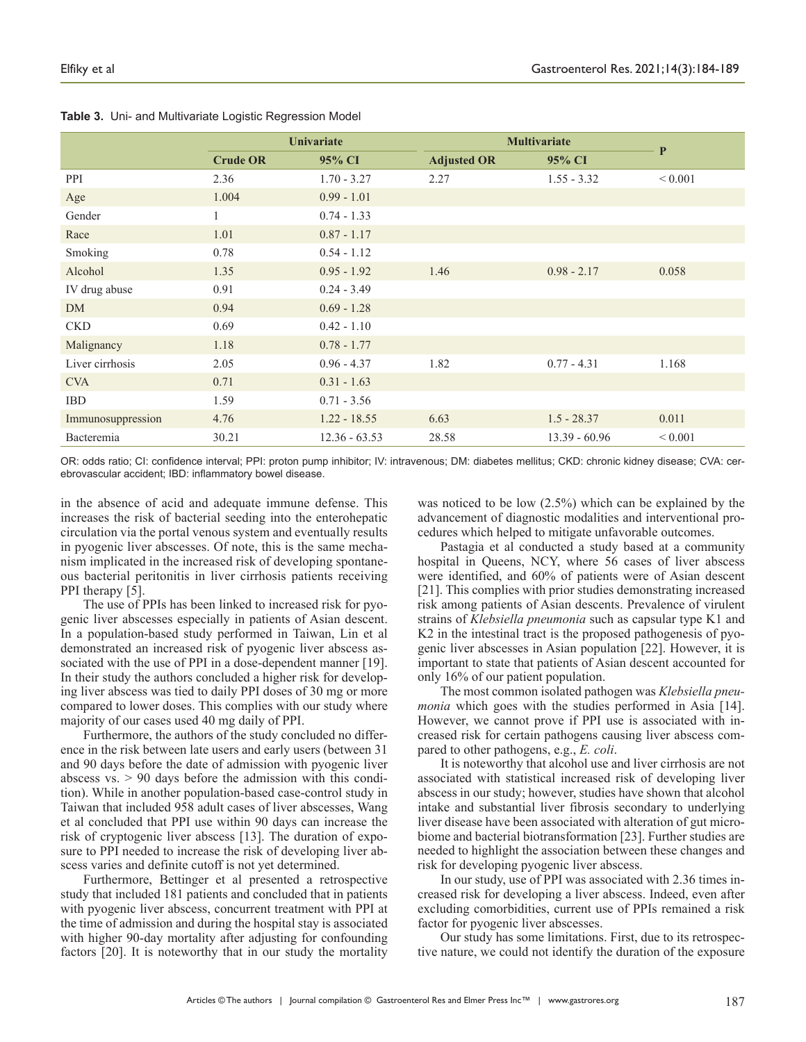|                   | Univariate      |                 | <b>Multivariate</b> | $\mathbf{P}$    |             |
|-------------------|-----------------|-----------------|---------------------|-----------------|-------------|
|                   | <b>Crude OR</b> | 95% CI          | <b>Adjusted OR</b>  | 95% CI          |             |
| PPI               | 2.36            | $1.70 - 3.27$   | 2.27                | $1.55 - 3.32$   | ${}< 0.001$ |
| Age               | 1.004           | $0.99 - 1.01$   |                     |                 |             |
| Gender            |                 | $0.74 - 1.33$   |                     |                 |             |
| Race              | 1.01            | $0.87 - 1.17$   |                     |                 |             |
| Smoking           | 0.78            | $0.54 - 1.12$   |                     |                 |             |
| Alcohol           | 1.35            | $0.95 - 1.92$   | 1.46                | $0.98 - 2.17$   | 0.058       |
| IV drug abuse     | 0.91            | $0.24 - 3.49$   |                     |                 |             |
| <b>DM</b>         | 0.94            | $0.69 - 1.28$   |                     |                 |             |
| <b>CKD</b>        | 0.69            | $0.42 - 1.10$   |                     |                 |             |
| Malignancy        | 1.18            | $0.78 - 1.77$   |                     |                 |             |
| Liver cirrhosis   | 2.05            | $0.96 - 4.37$   | 1.82                | $0.77 - 4.31$   | 1.168       |
| <b>CVA</b>        | 0.71            | $0.31 - 1.63$   |                     |                 |             |
| <b>IBD</b>        | 1.59            | $0.71 - 3.56$   |                     |                 |             |
| Immunosuppression | 4.76            | $1.22 - 18.55$  | 6.63                | $1.5 - 28.37$   | 0.011       |
| Bacteremia        | 30.21           | $12.36 - 63.53$ | 28.58               | $13.39 - 60.96$ | ${}< 0.001$ |

**Table 3.** Uni- and Multivariate Logistic Regression Model

OR: odds ratio; CI: confidence interval; PPI: proton pump inhibitor; IV: intravenous; DM: diabetes mellitus; CKD: chronic kidney disease; CVA: cerebrovascular accident; IBD: inflammatory bowel disease.

in the absence of acid and adequate immune defense. This increases the risk of bacterial seeding into the enterohepatic circulation via the portal venous system and eventually results in pyogenic liver abscesses. Of note, this is the same mechanism implicated in the increased risk of developing spontaneous bacterial peritonitis in liver cirrhosis patients receiving PPI therapy [5].

The use of PPIs has been linked to increased risk for pyogenic liver abscesses especially in patients of Asian descent. In a population-based study performed in Taiwan, Lin et al demonstrated an increased risk of pyogenic liver abscess associated with the use of PPI in a dose-dependent manner [19]. In their study the authors concluded a higher risk for developing liver abscess was tied to daily PPI doses of 30 mg or more compared to lower doses. This complies with our study where majority of our cases used 40 mg daily of PPI.

Furthermore, the authors of the study concluded no difference in the risk between late users and early users (between 31 and 90 days before the date of admission with pyogenic liver abscess vs. > 90 days before the admission with this condition). While in another population-based case-control study in Taiwan that included 958 adult cases of liver abscesses, Wang et al concluded that PPI use within 90 days can increase the risk of cryptogenic liver abscess [13]. The duration of exposure to PPI needed to increase the risk of developing liver abscess varies and definite cutoff is not yet determined.

Furthermore, Bettinger et al presented a retrospective study that included 181 patients and concluded that in patients with pyogenic liver abscess, concurrent treatment with PPI at the time of admission and during the hospital stay is associated with higher 90-day mortality after adjusting for confounding factors [20]. It is noteworthy that in our study the mortality

was noticed to be low (2.5%) which can be explained by the advancement of diagnostic modalities and interventional procedures which helped to mitigate unfavorable outcomes.

Pastagia et al conducted a study based at a community hospital in Queens, NCY, where 56 cases of liver abscess were identified, and 60% of patients were of Asian descent [21]. This complies with prior studies demonstrating increased risk among patients of Asian descents. Prevalence of virulent strains of *Klebsiella pneumonia* such as capsular type K1 and K2 in the intestinal tract is the proposed pathogenesis of pyogenic liver abscesses in Asian population [22]. However, it is important to state that patients of Asian descent accounted for only 16% of our patient population.

The most common isolated pathogen was *Klebsiella pneumonia* which goes with the studies performed in Asia [14]. However, we cannot prove if PPI use is associated with increased risk for certain pathogens causing liver abscess compared to other pathogens, e.g., *E. coli*.

It is noteworthy that alcohol use and liver cirrhosis are not associated with statistical increased risk of developing liver abscess in our study; however, studies have shown that alcohol intake and substantial liver fibrosis secondary to underlying liver disease have been associated with alteration of gut microbiome and bacterial biotransformation [23]. Further studies are needed to highlight the association between these changes and risk for developing pyogenic liver abscess.

In our study, use of PPI was associated with 2.36 times increased risk for developing a liver abscess. Indeed, even after excluding comorbidities, current use of PPIs remained a risk factor for pyogenic liver abscesses.

Our study has some limitations. First, due to its retrospective nature, we could not identify the duration of the exposure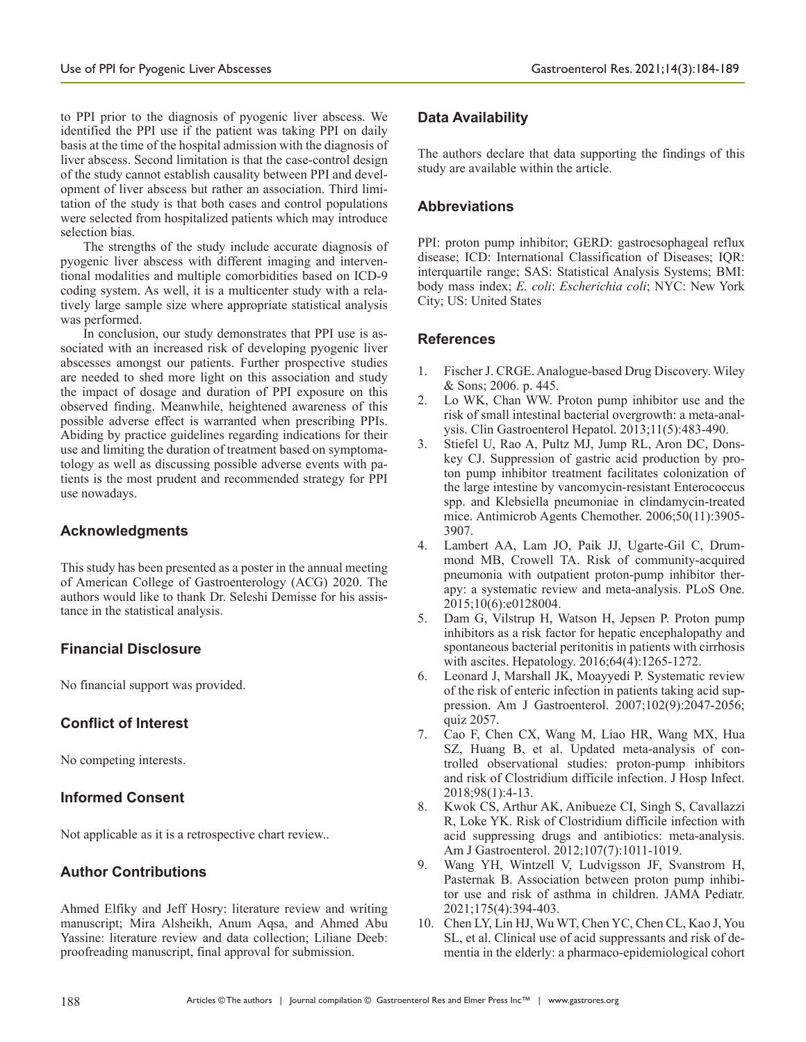to PPI prior to the diagnosis of pyogenic liver abscess. We identified the PPI use if the patient was taking PPI on daily basis at the time of the hospital admission with the diagnosis of liver abscess. Second limitation is that the case-control design of the study cannot establish causality between PPI and development of liver abscess but rather an association. Third limitation of the study is that both cases and control populations were selected from hospitalized patients which may introduce selection bias.

The strengths of the study include accurate diagnosis of pyogenic liver abscess with different imaging and interventional modalities and multiple comorbidities based on ICD-9 coding system. As well, it is a multicenter study with a relatively large sample size where appropriate statistical analysis was performed.

In conclusion, our study demonstrates that PPI use is associated with an increased risk of developing pyogenic liver abscesses amongst our patients. Further prospective studies are needed to shed more light on this association and study the impact of dosage and duration of PPI exposure on this observed finding. Meanwhile, heightened awareness of this possible adverse effect is warranted when prescribing PPIs. Abiding by practice guidelines regarding indications for their use and limiting the duration of treatment based on symptomatology as well as discussing possible adverse events with patients is the most prudent and recommended strategy for PPI use nowadays.

# **Acknowledgments**

This study has been presented as a poster in the annual meeting of American College of Gastroenterology (ACG) 2020. The authors would like to thank Dr. Seleshi Demisse for his assistance in the statistical analysis.

# **Financial Disclosure**

No financial support was provided.

# **Conflict of Interest**

No competing interests.

# **Informed Consent**

Not applicable as it is a retrospective chart review..

# **Author Contributions**

Ahmed Elfiky and Jeff Hosry: literature review and writing manuscript; Mira Alsheikh, Anum Aqsa, and Ahmed Abu Yassine: literature review and data collection; Liliane Deeb: proofreading manuscript, final approval for submission.

# **Data Availability**

The authors declare that data supporting the findings of this study are available within the article.

# **Abbreviations**

PPI: proton pump inhibitor; GERD: gastroesophageal reflux disease; ICD: International Classification of Diseases; IQR: interquartile range; SAS: Statistical Analysis Systems; BMI: body mass index; *E. coli*: *Escherichia coli*; NYC: New York City; US: United States

# **References**

- 1. Fischer J. CRGE. Analogue-based Drug Discovery. Wiley & Sons; 2006. p. 445.
- 2. Lo WK, Chan WW. Proton pump inhibitor use and the risk of small intestinal bacterial overgrowth: a meta-analysis. Clin Gastroenterol Hepatol. 2013;11(5):483-490.
- 3. Stiefel U, Rao A, Pultz MJ, Jump RL, Aron DC, Donskey CJ. Suppression of gastric acid production by proton pump inhibitor treatment facilitates colonization of the large intestine by vancomycin-resistant Enterococcus spp. and Klebsiella pneumoniae in clindamycin-treated mice. Antimicrob Agents Chemother. 2006;50(11):3905- 3907.
- 4. Lambert AA, Lam JO, Paik JJ, Ugarte-Gil C, Drummond MB, Crowell TA. Risk of community-acquired pneumonia with outpatient proton-pump inhibitor therapy: a systematic review and meta-analysis. PLoS One. 2015;10(6):e0128004.
- 5. Dam G, Vilstrup H, Watson H, Jepsen P. Proton pump inhibitors as a risk factor for hepatic encephalopathy and spontaneous bacterial peritonitis in patients with cirrhosis with ascites. Hepatology. 2016;64(4):1265-1272.
- 6. Leonard J, Marshall JK, Moayyedi P. Systematic review of the risk of enteric infection in patients taking acid suppression. Am J Gastroenterol. 2007;102(9):2047-2056; quiz 2057.
- 7. Cao F, Chen CX, Wang M, Liao HR, Wang MX, Hua SZ, Huang B, et al. Updated meta-analysis of controlled observational studies: proton-pump inhibitors and risk of Clostridium difficile infection. J Hosp Infect. 2018;98(1):4-13.
- 8. Kwok CS, Arthur AK, Anibueze CI, Singh S, Cavallazzi R, Loke YK. Risk of Clostridium difficile infection with acid suppressing drugs and antibiotics: meta-analysis. Am J Gastroenterol. 2012;107(7):1011-1019.
- 9. Wang YH, Wintzell V, Ludvigsson JF, Svanstrom H, Pasternak B. Association between proton pump inhibitor use and risk of asthma in children. JAMA Pediatr. 2021;175(4):394-403.
- 10. Chen LY, Lin HJ, Wu WT, Chen YC, Chen CL, Kao J, You SL, et al. Clinical use of acid suppressants and risk of dementia in the elderly: a pharmaco-epidemiological cohort